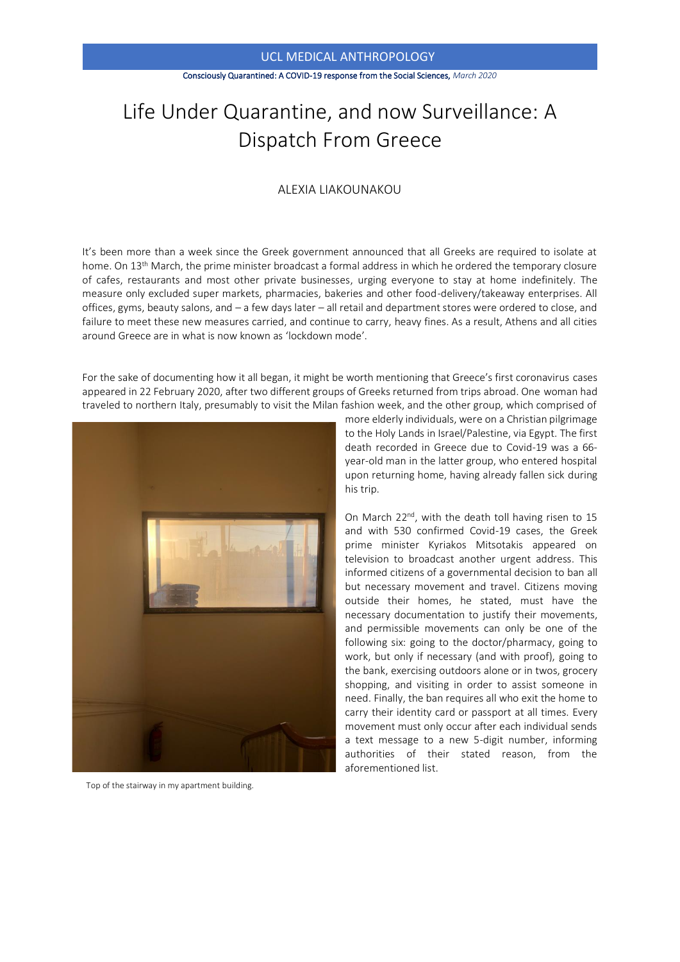#### Consciously Quarantined: A COVID-19 response from the Social Sciences, *March 2020*

# Life Under Quarantine, and now Surveillance: A Dispatch From Greece

## ALEXIA LIAKOUNAKOU

It's been more than a week since the Greek government announced that all Greeks are required to isolate at home. On 13<sup>th</sup> March, the prime minister broadcast a formal address in which he ordered the temporary closure of cafes, restaurants and most other private businesses, urging everyone to stay at home indefinitely. The measure only excluded super markets, pharmacies, bakeries and other food-delivery/takeaway enterprises. All offices, gyms, beauty salons, and – a few days later – all retail and department stores were ordered to close, and failure to meet these new measures carried, and continue to carry, heavy fines. As a result, Athens and all cities around Greece are in what is now known as 'lockdown mode'.

For the sake of documenting how it all began, it might be worth mentioning that Greece's first coronavirus cases appeared in 22 February 2020, after two different groups of Greeks returned from trips abroad. One woman had traveled to northern Italy, presumably to visit the Milan fashion week, and the other group, which comprised of



Top of the stairway in my apartment building.

more elderly individuals, were on a Christian pilgrimage to the Holy Lands in Israel/Palestine, via Egypt. The first death recorded in Greece due to Covid-19 was a 66 year-old man in the latter group, who entered hospital upon returning home, having already fallen sick during his trip.

On March 22<sup>nd</sup>, with the death toll having risen to 15 and with 530 confirmed Covid-19 cases, the Greek prime minister Kyriakos Mitsotakis appeared on television to broadcast another urgent address. This informed citizens of a governmental decision to ban all but necessary movement and travel. Citizens moving outside their homes, he stated, must have the necessary documentation to justify their movements, and permissible movements can only be one of the following six: going to the doctor/pharmacy, going to work, but only if necessary (and with proof), going to the bank, exercising outdoors alone or in twos, grocery shopping, and visiting in order to assist someone in need. Finally, the ban requires all who exit the home to carry their identity card or passport at all times. Every movement must only occur after each individual sends a text message to a new 5-digit number, informing authorities of their stated reason, from the aforementioned list.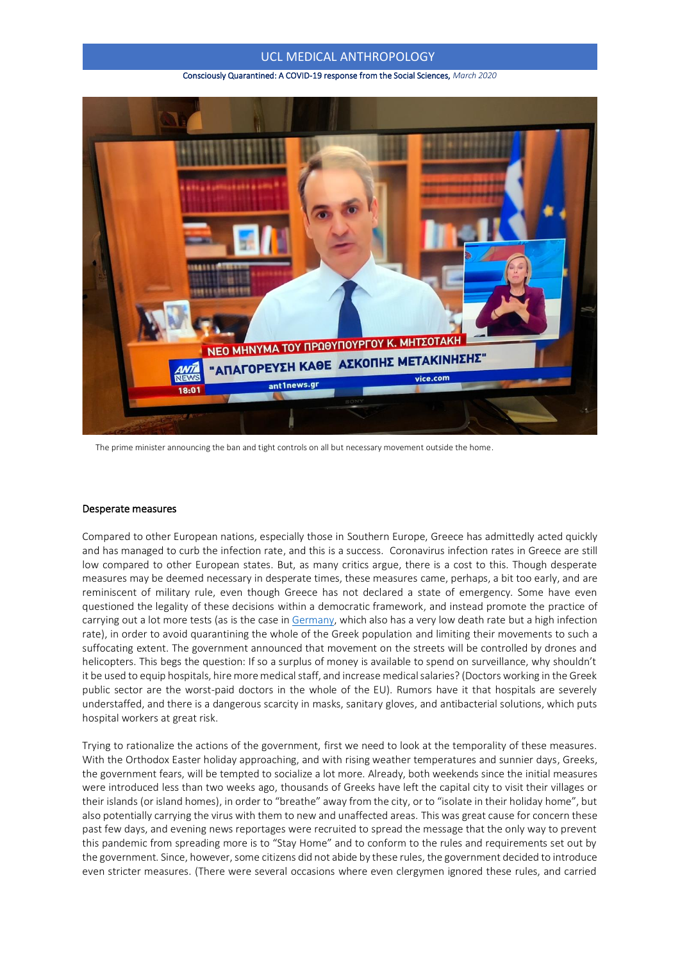#### Consciously Quarantined: A COVID-19 response from the Social Sciences, *March 2020*



The prime minister announcing the ban and tight controls on all but necessary movement outside the home.

#### Desperate measures

Compared to other European nations, especially those in Southern Europe, Greece has admittedly acted quickly and has managed to curb the infection rate, and this is a success. Coronavirus infection rates in Greece are still low compared to other European states. But, as many critics argue, there is a cost to this. Though desperate measures may be deemed necessary in desperate times, these measures came, perhaps, a bit too early, and are reminiscent of military rule, even though Greece has not declared a state of emergency. Some have even questioned the legality of these decisions within a democratic framework, and instead promote the practice of carrying out a lot more tests (as is the case i[n Germany,](https://www.ft.com/content/c0755b30-69bb-11ea-800d-da70cff6e4d3) which also has a very low death rate but a high infection rate), in order to avoid quarantining the whole of the Greek population and limiting their movements to such a suffocating extent. The government announced that movement on the streets will be controlled by drones and helicopters. This begs the question: If so a surplus of money is available to spend on surveillance, why shouldn't it be used to equip hospitals, hire more medical staff, and increase medical salaries? (Doctors working in the Greek public sector are the worst-paid doctors in the whole of the EU). Rumors have it that hospitals are severely understaffed, and there is a dangerous scarcity in masks, sanitary gloves, and antibacterial solutions, which puts hospital workers at great risk.

Trying to rationalize the actions of the government, first we need to look at the temporality of these measures. With the Orthodox Easter holiday approaching, and with rising weather temperatures and sunnier days, Greeks, the government fears, will be tempted to socialize a lot more. Already, both weekends since the initial measures were introduced less than two weeks ago, thousands of Greeks have left the capital city to visit their villages or their islands (or island homes), in order to "breathe" away from the city, or to "isolate in their holiday home", but also potentially carrying the virus with them to new and unaffected areas. This was great cause for concern these past few days, and evening news reportages were recruited to spread the message that the only way to prevent this pandemic from spreading more is to "Stay Home" and to conform to the rules and requirements set out by the government. Since, however, some citizens did not abide by these rules, the government decided to introduce even stricter measures. (There were several occasions where even clergymen ignored these rules, and carried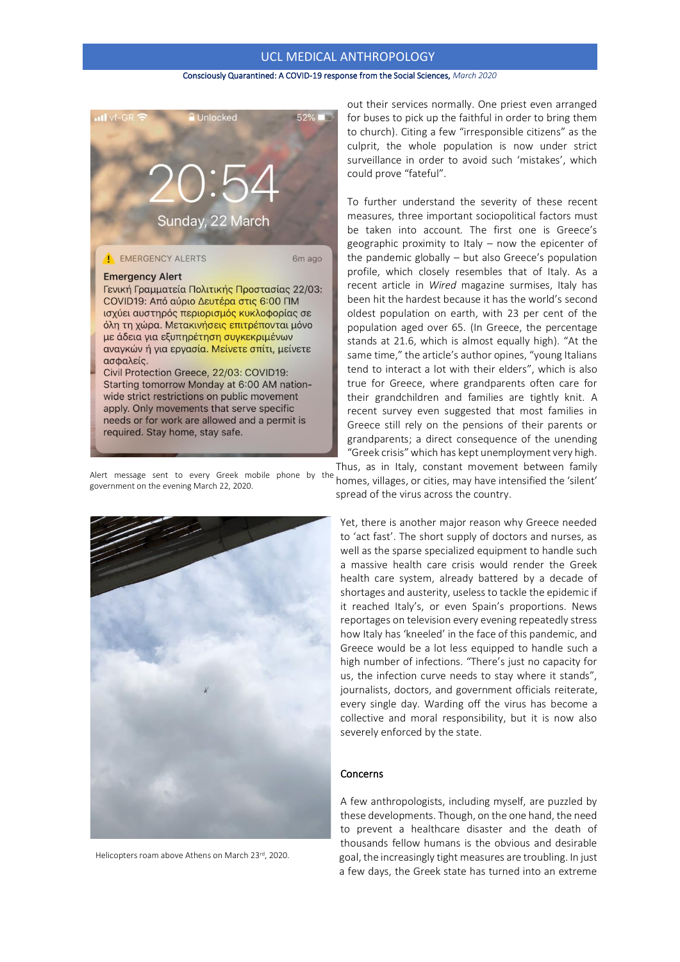#### Consciously Quarantined: A COVID-19 response from the Social Sciences, *March 2020*



Alert message sent to every Greek mobile phone by the government on the evening March 22, 2020.



Helicopters roam above Athens on March 23rd, 2020.

out their services normally. One priest even arranged for buses to pick up the faithful in order to bring them to church). Citing a few "irresponsible citizens" as the culprit, the whole population is now under strict surveillance in order to avoid such 'mistakes', which could prove "fateful".

To further understand the severity of these recent measures, three important sociopolitical factors must be taken into account. The first one is Greece's geographic proximity to Italy – now the epicenter of the pandemic globally – but also Greece's population profile, which closely resembles that of Italy. As a recent article in *Wired* magazine surmises, Italy has been hit the hardest because it has the world's second oldest population on earth, with 23 per cent of the population aged over 65. (In Greece, the percentage stands at 21.6, which is almost equally high). "At the same time," the article's author opines, "young Italians tend to interact a lot with their elders", which is also true for Greece, where grandparents often care for their grandchildren and families are tightly knit. A recent survey even suggested that most families in Greece still rely on the pensions of their parents or grandparents; a direct consequence of the unending "Greek crisis" which has kept unemployment very high.

Thus, as in Italy, constant movement between family homes, villages, or cities, may have intensified the 'silent' spread of the virus across the country.

Yet, there is another major reason why Greece needed to 'act fast'. The short supply of doctors and nurses, as well as the sparse specialized equipment to handle such a massive health care crisis would render the Greek health care system, already battered by a decade of shortages and austerity, useless to tackle the epidemic if it reached Italy's, or even Spain's proportions. News reportages on television every evening repeatedly stress how Italy has 'kneeled' in the face of this pandemic, and Greece would be a lot less equipped to handle such a high number of infections. "There's just no capacity for us, the infection curve needs to stay where it stands", journalists, doctors, and government officials reiterate, every single day. Warding off the virus has become a collective and moral responsibility, but it is now also severely enforced by the state.

## Concerns

A few anthropologists, including myself, are puzzled by these developments. Though, on the one hand, the need to prevent a healthcare disaster and the death of thousands fellow humans is the obvious and desirable goal, the increasingly tight measures are troubling. In just a few days, the Greek state has turned into an extreme